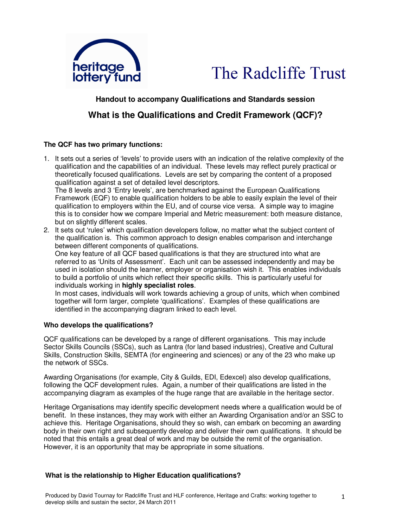



## **Handout to accompany Qualifications and Standards session**

# **What is the Qualifications and Credit Framework (QCF)?**

#### **The QCF has two primary functions:**

1. It sets out a series of 'levels' to provide users with an indication of the relative complexity of the qualification and the capabilities of an individual. These levels may reflect purely practical or theoretically focused qualifications. Levels are set by comparing the content of a proposed qualification against a set of detailed level descriptors.

The 8 levels and 3 'Entry levels', are benchmarked against the European Qualifications Framework (EQF) to enable qualification holders to be able to easily explain the level of their qualification to employers within the EU, and of course vice versa. A simple way to imagine this is to consider how we compare Imperial and Metric measurement: both measure distance, but on slightly different scales.

2. It sets out 'rules' which qualification developers follow, no matter what the subject content of the qualification is. This common approach to design enables comparison and interchange between different components of qualifications.

One key feature of all QCF based qualifications is that they are structured into what are referred to as 'Units of Assessment'. Each unit can be assessed independently and may be used in isolation should the learner, employer or organisation wish it. This enables individuals to build a portfolio of units which reflect their specific skills. This is particularly useful for individuals working in **highly specialist roles**.

In most cases, individuals will work towards achieving a group of units, which when combined together will form larger, complete 'qualifications'. Examples of these qualifications are identified in the accompanying diagram linked to each level.

#### **Who develops the qualifications?**

QCF qualifications can be developed by a range of different organisations. This may include Sector Skills Councils (SSCs), such as Lantra (for land based industries), Creative and Cultural Skills, Construction Skills, SEMTA (for engineering and sciences) or any of the 23 who make up the network of SSCs.

Awarding Organisations (for example, City & Guilds, EDI, Edexcel) also develop qualifications, following the QCF development rules. Again, a number of their qualifications are listed in the accompanying diagram as examples of the huge range that are available in the heritage sector.

Heritage Organisations may identify specific development needs where a qualification would be of benefit. In these instances, they may work with either an Awarding Organisation and/or an SSC to achieve this. Heritage Organisations, should they so wish, can embark on becoming an awarding body in their own right and subsequently develop and deliver their own qualifications. It should be noted that this entails a great deal of work and may be outside the remit of the organisation. However, it is an opportunity that may be appropriate in some situations.

#### **What is the relationship to Higher Education qualifications?**